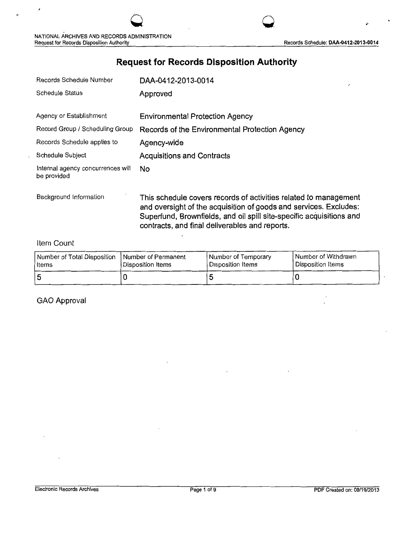Records Schedule: DAA-0412-2013-0014

# **Request for Records Disposition Authority**

| DAA-0412-2013-0014                             |
|------------------------------------------------|
| Approved                                       |
|                                                |
| <b>Environmental Protection Agency</b>         |
| Records of the Environmental Protection Agency |
| Agency-wide                                    |
| <b>Acquisitions and Contracts</b>              |
| No.                                            |
|                                                |

Background Information **This schedule covers records of activities related to management** and oversight of the acquisition of goods and services. Excludes: Superfund, Brownfields, and oil spill site-specific acquisitions and contracts, and final deliverables and reports.

**0** 

### Item Count

| Number of Total Disposition | <b>Number of Permanent</b> | <b>Number of Temporary</b> | I Number of Withdrawn |
|-----------------------------|----------------------------|----------------------------|-----------------------|
| l Items                     | Disposition Items          | Disposition Items          | l Disposition Items   |
| 5                           |                            |                            |                       |

GAO Approval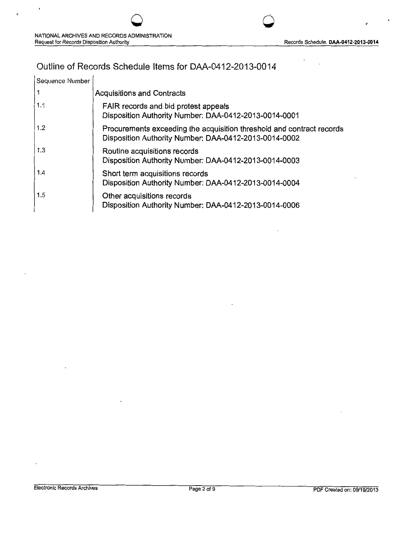# Outline of Records Schedule Items for DAA-0412-2013-0014

| Sequence Number |                                                                                                                                |
|-----------------|--------------------------------------------------------------------------------------------------------------------------------|
|                 | <b>Acquisitions and Contracts</b>                                                                                              |
| 1.1             | FAIR records and bid protest appeals<br>Disposition Authority Number: DAA-0412-2013-0014-0001                                  |
| 1.2             | Procurements exceeding the acquisition threshold and contract records<br>Disposition Authority Number: DAA-0412-2013-0014-0002 |
| 1.3             | Routine acquisitions records<br>Disposition Authority Number: DAA-0412-2013-0014-0003                                          |
| 1.4             | Short term acquisitions records<br>Disposition Authority Number: DAA-0412-2013-0014-0004                                       |
| 1.5             | Other acquisitions records<br>Disposition Authority Number: DAA-0412-2013-0014-0006                                            |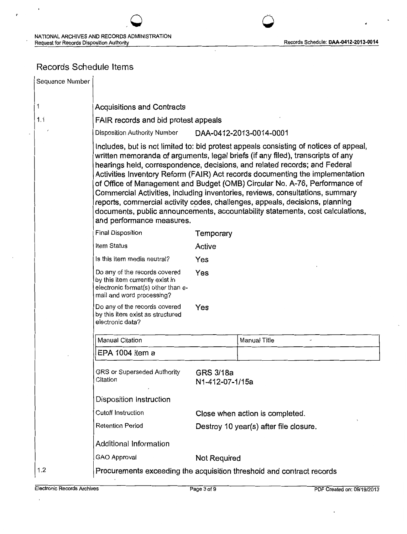$\ddot{\phantom{0}}$ 

 $\epsilon$ 

 $\bigcirc$ 

# Records Schedule Items

J.

| Sequence Number |                                                                                                                                     |                              |                                                                                                                                                                                                                                                                                                                                                                                                                                                                                                                                                                                                                                                                          |  |
|-----------------|-------------------------------------------------------------------------------------------------------------------------------------|------------------------------|--------------------------------------------------------------------------------------------------------------------------------------------------------------------------------------------------------------------------------------------------------------------------------------------------------------------------------------------------------------------------------------------------------------------------------------------------------------------------------------------------------------------------------------------------------------------------------------------------------------------------------------------------------------------------|--|
| 1               | <b>Acquisitions and Contracts</b>                                                                                                   |                              |                                                                                                                                                                                                                                                                                                                                                                                                                                                                                                                                                                                                                                                                          |  |
| 1.1             | FAIR records and bid protest appeals                                                                                                |                              |                                                                                                                                                                                                                                                                                                                                                                                                                                                                                                                                                                                                                                                                          |  |
|                 | <b>Disposition Authority Number</b>                                                                                                 |                              | DAA-0412-2013-0014-0001                                                                                                                                                                                                                                                                                                                                                                                                                                                                                                                                                                                                                                                  |  |
|                 | and performance measures.                                                                                                           |                              | Includes, but is not limited to: bid protest appeals consisting of notices of appeal,<br>written memoranda of arguments, legal briefs (if any filed), transcripts of any<br>hearings held, correspondence, decisions, and related records; and Federal<br>Activities Inventory Reform (FAIR) Act records documenting the implementation<br>of Office of Management and Budget (OMB) Circular No. A-76, Performance of<br>Commercial Activities, including inventories, reviews, consultations, summary<br>reports, commercial activity codes, challenges, appeals, decisions, planning<br>documents, public announcements, accountability statements, cost calculations, |  |
|                 | <b>Final Disposition</b>                                                                                                            | Temporary                    |                                                                                                                                                                                                                                                                                                                                                                                                                                                                                                                                                                                                                                                                          |  |
|                 | Item Status                                                                                                                         | Active                       |                                                                                                                                                                                                                                                                                                                                                                                                                                                                                                                                                                                                                                                                          |  |
|                 | Is this item media neutral?                                                                                                         | Yes                          |                                                                                                                                                                                                                                                                                                                                                                                                                                                                                                                                                                                                                                                                          |  |
|                 | Do any of the records covered<br>by this item currently exist in<br>electronic format(s) other than e-<br>mail and word processing? | Yes                          |                                                                                                                                                                                                                                                                                                                                                                                                                                                                                                                                                                                                                                                                          |  |
|                 | Do any of the records covered<br>by this item exist as structured<br>electronic data?                                               | Yes                          |                                                                                                                                                                                                                                                                                                                                                                                                                                                                                                                                                                                                                                                                          |  |
|                 | Manual Citation                                                                                                                     |                              | Manual Title                                                                                                                                                                                                                                                                                                                                                                                                                                                                                                                                                                                                                                                             |  |
|                 | EPA 1004 item a                                                                                                                     |                              |                                                                                                                                                                                                                                                                                                                                                                                                                                                                                                                                                                                                                                                                          |  |
|                 | GRS or Superseded Authority<br>Citation                                                                                             | GRS 3/18a<br>N1-412-07-1/15a |                                                                                                                                                                                                                                                                                                                                                                                                                                                                                                                                                                                                                                                                          |  |
|                 | Disposition Instruction                                                                                                             |                              |                                                                                                                                                                                                                                                                                                                                                                                                                                                                                                                                                                                                                                                                          |  |
|                 | Cutoff Instruction                                                                                                                  |                              | Close when action is completed.                                                                                                                                                                                                                                                                                                                                                                                                                                                                                                                                                                                                                                          |  |
|                 | <b>Retention Period</b>                                                                                                             |                              | Destroy 10 year(s) after file closure.                                                                                                                                                                                                                                                                                                                                                                                                                                                                                                                                                                                                                                   |  |
|                 | Additional Information                                                                                                              |                              |                                                                                                                                                                                                                                                                                                                                                                                                                                                                                                                                                                                                                                                                          |  |
|                 | GAO Approval                                                                                                                        | <b>Not Required</b>          |                                                                                                                                                                                                                                                                                                                                                                                                                                                                                                                                                                                                                                                                          |  |
| 1.2             |                                                                                                                                     |                              | Procurements exceeding the acquisition threshold and contract records                                                                                                                                                                                                                                                                                                                                                                                                                                                                                                                                                                                                    |  |

 $\ddot{\phantom{0}}$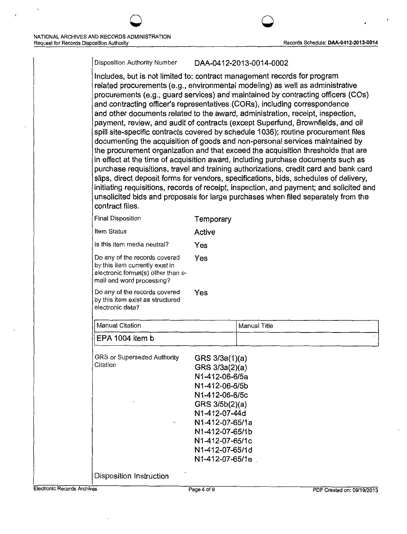#### Disposition Authority Number DAA-0412-2013-0014-0002

0 0

Includes, but is not limited to: contract management records for program related procurements (e.g., environmental modeling) as well as administrative procurements (e.g., guard services) and maintained by contracting officers (COs) and contracting officer's representatives (CORs), including correspondence and other documents related to the award, administration, receipt, inspection, payment, review, and audit of contracts (except Superfund, Brownfields, and oil spill site-specific contracts covered by schedule 1036); routine procurement files documenting the acquisition of goods and non-personal services maintained by the procurement organization and that exceed the acquisition thresholds that are in effect at the time of acquisition award, including purchase documents such as purchase requisitions, travel and training authorizations, credit card and bank card slips, direct deposit forms for vendors, specifications, bids, schedules of delivery, initiating requisitions, records of receipt, inspection, and payment; and solicited and unsolicited bids and proposals for large purchases when filed separately from the contract files.

|                                                                                                                                     | Temporary                                                                |                                                                                                                                              |
|-------------------------------------------------------------------------------------------------------------------------------------|--------------------------------------------------------------------------|----------------------------------------------------------------------------------------------------------------------------------------------|
| Item Status                                                                                                                         | Active                                                                   |                                                                                                                                              |
| Is this item media neutral?                                                                                                         | Yes                                                                      |                                                                                                                                              |
| Do any of the records covered<br>by this item currently exist in<br>electronic format(s) other than e-<br>mail and word processing? | Yes                                                                      |                                                                                                                                              |
| Do any of the records covered<br>by this item exist as structured<br>electronic data?                                               | Yes                                                                      |                                                                                                                                              |
| <b>Manual Citation</b>                                                                                                              |                                                                          | Manual Title                                                                                                                                 |
| EPA 1004 item b                                                                                                                     |                                                                          |                                                                                                                                              |
| GRS or Superseded Authority<br>Citation                                                                                             |                                                                          |                                                                                                                                              |
|                                                                                                                                     | N1-412-07-65/1b<br>N1-412-07-65/1c<br>N1-412-07-65/1d<br>N1-412-07-65/1e |                                                                                                                                              |
|                                                                                                                                     | <b>Final Disposition</b>                                                 | GRS 3/3a(1)(a)<br>GRS 3/3a(2)(a)<br>N1-412-06-6/5a<br>N1-412-06-6/5b<br>N1-412-06-6/5c<br>GRS 3/5b(2)(a)<br>N1-412-07-44d<br>N1-412-07-65/1a |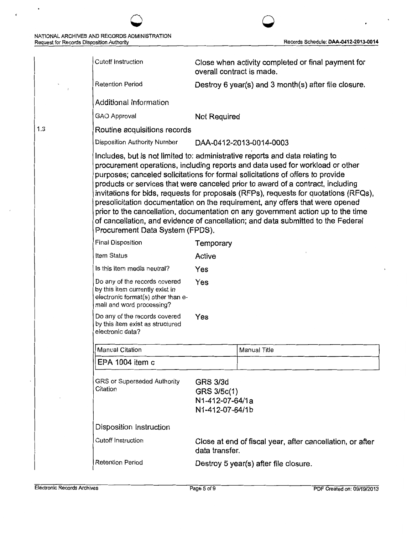1.3

 $\ddot{\phantom{1}}$ 

 $\hat{\mathbf{r}}$ 

 $\ddot{\phantom{1}}$ 

.

| Cutoff Instruction                                                                                                                  |                                                                      | Close when activity completed or final payment for                                                                                                                                                                                                                                                                                                                                                                                                                                                                                                                                                                                                                                  |
|-------------------------------------------------------------------------------------------------------------------------------------|----------------------------------------------------------------------|-------------------------------------------------------------------------------------------------------------------------------------------------------------------------------------------------------------------------------------------------------------------------------------------------------------------------------------------------------------------------------------------------------------------------------------------------------------------------------------------------------------------------------------------------------------------------------------------------------------------------------------------------------------------------------------|
|                                                                                                                                     | overall contract is made.                                            |                                                                                                                                                                                                                                                                                                                                                                                                                                                                                                                                                                                                                                                                                     |
| <b>Retention Period</b>                                                                                                             |                                                                      | Destroy 6 year(s) and 3 month(s) after file closure.                                                                                                                                                                                                                                                                                                                                                                                                                                                                                                                                                                                                                                |
| Additional Information                                                                                                              |                                                                      |                                                                                                                                                                                                                                                                                                                                                                                                                                                                                                                                                                                                                                                                                     |
| GAO Approval                                                                                                                        | <b>Not Required</b>                                                  |                                                                                                                                                                                                                                                                                                                                                                                                                                                                                                                                                                                                                                                                                     |
| Routine acquisitions records                                                                                                        |                                                                      |                                                                                                                                                                                                                                                                                                                                                                                                                                                                                                                                                                                                                                                                                     |
| Disposition Authority Number                                                                                                        |                                                                      | DAA-0412-2013-0014-0003                                                                                                                                                                                                                                                                                                                                                                                                                                                                                                                                                                                                                                                             |
| Procurement Data System (FPDS).                                                                                                     |                                                                      | Includes, but is not limited to: administrative reports and data relating to<br>procurement operations, including reports and data used for workload or other<br>purposes; canceled solicitations for formal solicitations of offers to provide<br>products or services that were canceled prior to award of a contract, including<br>invitations for bids, requests for proposals (RFPs), requests for quotations (RFQs),<br>presolicitation documentation on the requirement, any offers that were opened<br>prior to the cancellation, documentation on any government action up to the time<br>of cancellation, and evidence of cancellation; and data submitted to the Federal |
| Final Disposition                                                                                                                   | Temporary                                                            |                                                                                                                                                                                                                                                                                                                                                                                                                                                                                                                                                                                                                                                                                     |
| Item Status                                                                                                                         | Active                                                               |                                                                                                                                                                                                                                                                                                                                                                                                                                                                                                                                                                                                                                                                                     |
| Is this item media neutral?                                                                                                         | Yes                                                                  |                                                                                                                                                                                                                                                                                                                                                                                                                                                                                                                                                                                                                                                                                     |
| Do any of the records covered<br>by this item currently exist in<br>electronic format(s) other than e-<br>mail and word processing? | Yes                                                                  |                                                                                                                                                                                                                                                                                                                                                                                                                                                                                                                                                                                                                                                                                     |
| Do any of the records covered<br>by this item exist as structured<br>electronic data?                                               | Yes                                                                  |                                                                                                                                                                                                                                                                                                                                                                                                                                                                                                                                                                                                                                                                                     |
| Manual Citation                                                                                                                     |                                                                      | Manual Title                                                                                                                                                                                                                                                                                                                                                                                                                                                                                                                                                                                                                                                                        |
| EPA 1004 item c                                                                                                                     |                                                                      |                                                                                                                                                                                                                                                                                                                                                                                                                                                                                                                                                                                                                                                                                     |
| GRS or Superseded Authority<br>Citation                                                                                             | <b>GRS 3/3d</b><br>GRS 3/5c(1)<br>N1-412-07-64/1a<br>N1-412-07-64/1b |                                                                                                                                                                                                                                                                                                                                                                                                                                                                                                                                                                                                                                                                                     |
| Disposition Instruction                                                                                                             |                                                                      |                                                                                                                                                                                                                                                                                                                                                                                                                                                                                                                                                                                                                                                                                     |
| <b>Cutoff Instruction</b>                                                                                                           | data transfer.                                                       | Close at end of fiscal year, after cancellation, or after                                                                                                                                                                                                                                                                                                                                                                                                                                                                                                                                                                                                                           |
| <b>Retention Period</b>                                                                                                             |                                                                      | Destroy 5 year(s) after file closure.                                                                                                                                                                                                                                                                                                                                                                                                                                                                                                                                                                                                                                               |

 $\overline{\mathcal{O}}$  and  $\overline{\mathcal{O}}$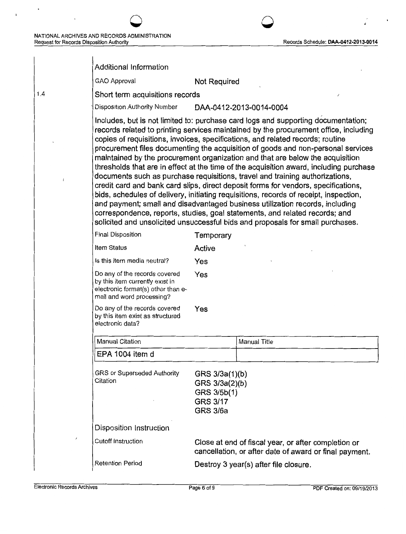$\cdot$ 

 $\ddot{\phantom{a}}$ 

 $\ddot{\textbf{r}}$ 

| Records Schedule: DAA-0412-2013-0014 |
|--------------------------------------|
|                                      |

 $\overline{\phantom{a}}$ 

è

 $\sim$   $\sim$ 

|      | <b>Additional Information</b>                                                                                                                                                                                                                                                                                                                                                                                                                                                                                                                                                                                                                                                                                                                                                                                                                                                                                                                                                                                                              |                                                                                       |                                                                                                               |  |
|------|--------------------------------------------------------------------------------------------------------------------------------------------------------------------------------------------------------------------------------------------------------------------------------------------------------------------------------------------------------------------------------------------------------------------------------------------------------------------------------------------------------------------------------------------------------------------------------------------------------------------------------------------------------------------------------------------------------------------------------------------------------------------------------------------------------------------------------------------------------------------------------------------------------------------------------------------------------------------------------------------------------------------------------------------|---------------------------------------------------------------------------------------|---------------------------------------------------------------------------------------------------------------|--|
|      | GAO Approval                                                                                                                                                                                                                                                                                                                                                                                                                                                                                                                                                                                                                                                                                                                                                                                                                                                                                                                                                                                                                               | Not Required                                                                          |                                                                                                               |  |
| 1.4  | Short term acquisitions records                                                                                                                                                                                                                                                                                                                                                                                                                                                                                                                                                                                                                                                                                                                                                                                                                                                                                                                                                                                                            |                                                                                       |                                                                                                               |  |
|      | Disposition Authority Number<br>DAA-0412-2013-0014-0004                                                                                                                                                                                                                                                                                                                                                                                                                                                                                                                                                                                                                                                                                                                                                                                                                                                                                                                                                                                    |                                                                                       |                                                                                                               |  |
|      | Includes, but is not limited to: purchase card logs and supporting documentation;<br>records related to printing services maintained by the procurement office, including<br>copies of requisitions, invoices, specifications, and related records; routine<br>procurement files documenting the acquisition of goods and non-personal services<br>maintained by the procurement organization and that are below the acquisition<br>thresholds that are in effect at the time of the acquisition award, including purchase<br>documents such as purchase requisitions, travel and training authorizations,<br>credit card and bank card slips, direct deposit forms for vendors, specifications,<br>bids, schedules of delivery, initiating requisitions, records of receipt, inspection,<br>and payment; small and disadvantaged business utilization records, including<br>correspondence, reports, studies, goal statements, and related records; and<br>solicited and unsolicited unsuccessful bids and proposals for small purchases. |                                                                                       |                                                                                                               |  |
|      | <b>Final Disposition</b>                                                                                                                                                                                                                                                                                                                                                                                                                                                                                                                                                                                                                                                                                                                                                                                                                                                                                                                                                                                                                   | Temporary                                                                             |                                                                                                               |  |
|      | Item Status                                                                                                                                                                                                                                                                                                                                                                                                                                                                                                                                                                                                                                                                                                                                                                                                                                                                                                                                                                                                                                | Active                                                                                |                                                                                                               |  |
|      | Is this item media neutral?                                                                                                                                                                                                                                                                                                                                                                                                                                                                                                                                                                                                                                                                                                                                                                                                                                                                                                                                                                                                                | Yes                                                                                   |                                                                                                               |  |
|      | Do any of the records covered<br>by this item currently exist in<br>electronic format(s) other than e-<br>mail and word processing?                                                                                                                                                                                                                                                                                                                                                                                                                                                                                                                                                                                                                                                                                                                                                                                                                                                                                                        | Yes                                                                                   |                                                                                                               |  |
|      | Do any of the records covered<br>by this item exist as structured<br>electronic data?                                                                                                                                                                                                                                                                                                                                                                                                                                                                                                                                                                                                                                                                                                                                                                                                                                                                                                                                                      | Yes                                                                                   |                                                                                                               |  |
|      | <b>Manual Citation</b>                                                                                                                                                                                                                                                                                                                                                                                                                                                                                                                                                                                                                                                                                                                                                                                                                                                                                                                                                                                                                     |                                                                                       | Manual Title                                                                                                  |  |
|      | EPA 1004 item d                                                                                                                                                                                                                                                                                                                                                                                                                                                                                                                                                                                                                                                                                                                                                                                                                                                                                                                                                                                                                            |                                                                                       |                                                                                                               |  |
|      | GRS or Superseded Authority<br>Citation                                                                                                                                                                                                                                                                                                                                                                                                                                                                                                                                                                                                                                                                                                                                                                                                                                                                                                                                                                                                    | GRS 3/3a(1)(b)<br>GRS 3/3a(2)(b)<br>GRS 3/5b(1)<br><b>GRS 3/17</b><br><b>GRS 3/6a</b> |                                                                                                               |  |
|      | Disposition Instruction                                                                                                                                                                                                                                                                                                                                                                                                                                                                                                                                                                                                                                                                                                                                                                                                                                                                                                                                                                                                                    |                                                                                       |                                                                                                               |  |
| $\,$ | <b>Cutoff Instruction</b>                                                                                                                                                                                                                                                                                                                                                                                                                                                                                                                                                                                                                                                                                                                                                                                                                                                                                                                                                                                                                  |                                                                                       | Close at end of fiscal year, or after completion or<br>cancellation, or after date of award or final payment. |  |
|      | <b>Retention Period</b>                                                                                                                                                                                                                                                                                                                                                                                                                                                                                                                                                                                                                                                                                                                                                                                                                                                                                                                                                                                                                    |                                                                                       | Destroy 3 year(s) after file closure.                                                                         |  |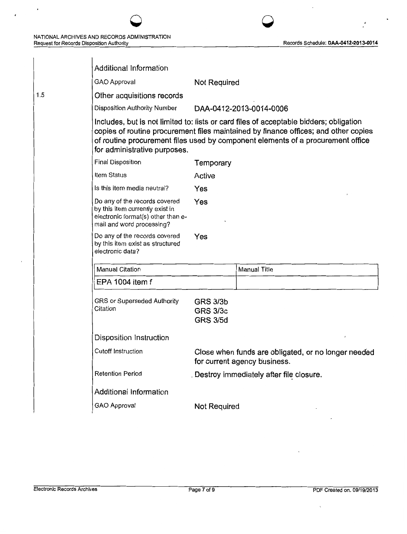$\chi \sim 2$ 

 $\overline{\phantom{a}}$ 

 $\bullet$ 

 $\pmb{i}$ 

|     | Additional Information                                                                                                                                                                                                                                                                           |                                                       |                                                                                     |  |
|-----|--------------------------------------------------------------------------------------------------------------------------------------------------------------------------------------------------------------------------------------------------------------------------------------------------|-------------------------------------------------------|-------------------------------------------------------------------------------------|--|
|     | GAO Approval                                                                                                                                                                                                                                                                                     | Not Required                                          |                                                                                     |  |
| 1.5 | Other acquisitions records                                                                                                                                                                                                                                                                       |                                                       |                                                                                     |  |
|     | Disposition Authority Number                                                                                                                                                                                                                                                                     |                                                       | DAA-0412-2013-0014-0006                                                             |  |
|     | Includes, but is not limited to: lists or card files of acceptable bidders; obligation<br>copies of routine procurement files maintained by finance offices; and other copies<br>of routine procurement files used by component elements of a procurement office<br>for administrative purposes. |                                                       |                                                                                     |  |
|     | Final Disposition                                                                                                                                                                                                                                                                                | Temporary                                             |                                                                                     |  |
|     | Item Status                                                                                                                                                                                                                                                                                      | Active                                                |                                                                                     |  |
|     | Is this item media neutral?                                                                                                                                                                                                                                                                      | Yes                                                   |                                                                                     |  |
|     | Do any of the records covered<br>by this item currently exist in<br>electronic format(s) other than e-<br>mail and word processing?                                                                                                                                                              | Yes                                                   |                                                                                     |  |
|     | Do any of the records covered<br>by this item exist as structured<br>electronic data?                                                                                                                                                                                                            | Yes                                                   |                                                                                     |  |
|     | <b>Manual Citation</b>                                                                                                                                                                                                                                                                           |                                                       | Manual Title                                                                        |  |
|     | EPA 1004 item f                                                                                                                                                                                                                                                                                  |                                                       |                                                                                     |  |
|     | GRS or Superseded Authority<br>Citation                                                                                                                                                                                                                                                          | <b>GRS 3/3b</b><br><b>GRS 3/3c</b><br><b>GRS 3/5d</b> |                                                                                     |  |
|     | Disposition Instruction                                                                                                                                                                                                                                                                          |                                                       |                                                                                     |  |
|     | Cutoff Instruction                                                                                                                                                                                                                                                                               |                                                       | Close when funds are obligated, or no longer needed<br>for current agency business. |  |
|     | <b>Retention Period</b>                                                                                                                                                                                                                                                                          |                                                       | Destroy immediately after file closure.                                             |  |
|     | Additional Information                                                                                                                                                                                                                                                                           |                                                       |                                                                                     |  |
|     | <b>GAO Approval</b>                                                                                                                                                                                                                                                                              | <b>Not Required</b>                                   |                                                                                     |  |
|     |                                                                                                                                                                                                                                                                                                  |                                                       |                                                                                     |  |

0 0

 $\mathcal{A}$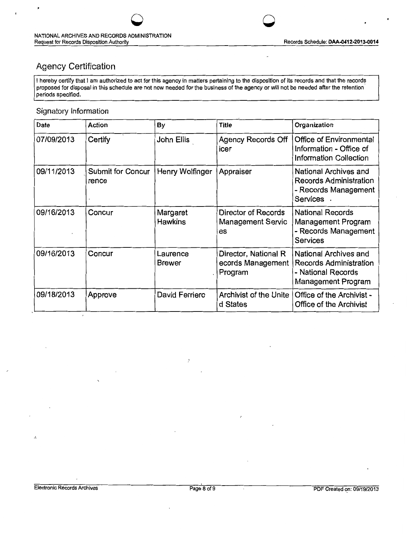# Agency Certification

I hereby certify that I am authorized to act for this agency in matters pertaining to the disposition of its records and that the records proposed for disposal in this schedule are not now needed for the business of the agency or will not be needed after the retention periods specified.

0 0

#### Signatory Information

 $\overline{\phantom{a}}$ 

| <b>Date</b> | Action                            | By                         | <b>Title</b>                                          | Organization                                                                                       |
|-------------|-----------------------------------|----------------------------|-------------------------------------------------------|----------------------------------------------------------------------------------------------------|
| 07/09/2013  | Certify                           | John Ellis                 | <b>Agency Records Off</b><br>icer                     | Office of Environmental<br>Information - Office of<br><b>Information Collection</b>                |
| 09/11/2013  | <b>Submit for Concur</b><br>rence | Henry Wolfinger            | Appraiser                                             | National Archives and<br><b>Records Administration</b><br>- Records Management<br>Services.        |
| 09/16/2013  | Concur                            | Margaret<br><b>Hawkins</b> | Director of Records<br><b>Management Servic</b><br>es | <b>National Records</b><br>Management Program<br>- Records Management<br><b>Services</b>           |
| 09/16/2013  | Concur                            | Laurence<br><b>Brewer</b>  | Director, National R<br>ecords Management<br>Program  | National Archives and<br><b>Records Administration</b><br>- National Records<br>Management Program |
| 09/18/2013  | Approve                           | David Ferriero             | Archivist of the Unite<br>d States                    | Office of the Archivist -<br>Office of the Archivist                                               |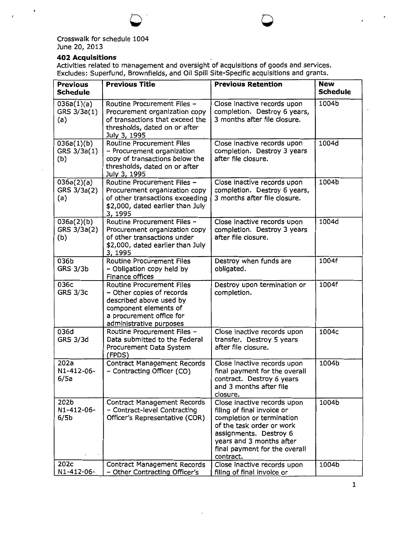

## **402 Acquisitions**

Activities related to management and oversight of acquisitions of goods and services. Excludes: Superfund, Brownfields, and Oil Spill Site-Specific acquisitions and grants.

| <b>Previous</b><br><b>Schedule</b>                         | <b>Previous Title</b>                                                                                                                                                    | <b>Previous Retention</b>                                                                                                                                                                                               | <b>New</b><br><b>Schedule</b> |
|------------------------------------------------------------|--------------------------------------------------------------------------------------------------------------------------------------------------------------------------|-------------------------------------------------------------------------------------------------------------------------------------------------------------------------------------------------------------------------|-------------------------------|
| 036a(1)(a)<br>GRS 3/3a(1)<br>(a)                           | Routine Procurement Files -<br>Procurement organization copy<br>of transactions that exceed the<br>thresholds, dated on or after<br>July 3, 1995                         | Close inactive records upon<br>completion. Destroy 6 years,<br>3 months after file closure.                                                                                                                             | 1004b                         |
| 036a(1)(b)<br>GRS 3/3a(1)<br>(b)                           | <b>Routine Procurement Files</b><br>- Procurement organization<br>copy of transactions below the<br>thresholds, dated on or after<br>July 3, 1995                        | Close inactive records upon<br>completion. Destroy 3 years<br>after file closure.                                                                                                                                       | 1004d                         |
| 036a(2)(a)<br>GRS 3/3a(2)<br>(a)                           | Routine Procurement Files -<br>Procurement organization copy<br>of other transactions exceeding<br>\$2,000, dated earlier than July<br>3, 1995                           | Close inactive records upon<br>completion. Destroy 6 years,<br>3 months after file closure.                                                                                                                             | 1004b                         |
| 036a(2)(b)<br>GRS 3/3a(2)<br>(b)                           | Routine Procurement Files -<br>Procurement organization copy<br>of other transactions under<br>\$2,000, dated earlier than July<br>3, 1995                               | Close inactive records upon<br>completion. Destroy 3 years<br>after file closure.                                                                                                                                       | 1004d                         |
| 036b<br><b>GRS 3/3b</b>                                    | <b>Routine Procurement Files</b><br>- Obligation copy held by<br>Finance offices                                                                                         | Destroy when funds are<br>obligated.                                                                                                                                                                                    | 1004f                         |
| 036c<br><b>GRS 3/3c</b>                                    | <b>Routine Procurement Files</b><br>- Other copies of records<br>described above used by<br>component elements of<br>a procurement office for<br>administrative purposes | Destroy upon termination or<br>completion.                                                                                                                                                                              | 1004f                         |
| 036d<br><b>GRS 3/3d</b>                                    | Routine Procurement Files -<br>Data submitted to the Federal<br>Procurement Data System<br>(FPDS)                                                                        | Close inactive records upon<br>transfer. Destroy 5 years<br>after file closure.                                                                                                                                         | 1004c                         |
| 202a<br>N1-412-06-<br>6/5a                                 | <b>Contract Management Records</b><br>- Contracting Officer (CO)                                                                                                         | Close inactive records upon<br>final payment for the overall<br>contract. Destroy 6 years<br>and 3 months after file<br>closure.                                                                                        | 1004b                         |
| 202 <sub>b</sub><br>N1-412-06-<br>6/5 <sub>b</sub><br>202c | <b>Contract Management Records</b><br>- Contract-level Contracting<br>Officer's Representative (COR)                                                                     | Close inactive records upon<br>filing of final invoice or<br>completion or termination<br>of the task order or work<br>assignments. Destroy 6<br>years and 3 months after<br>final payment for the overall<br>contract. | 1004b                         |
| N1-412-06-                                                 | Contract Management Records<br>- Other Contracting Officer's                                                                                                             | Close inactive records upon<br>filing of final invoice or                                                                                                                                                               | 1004b                         |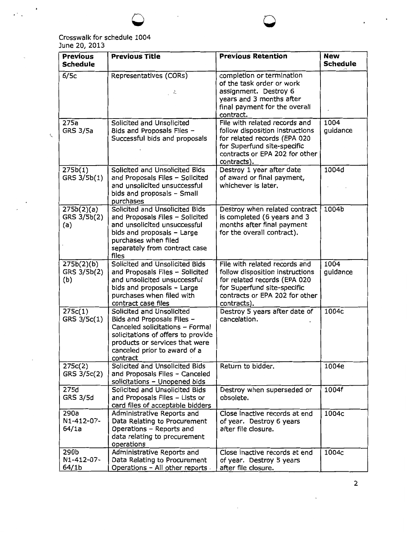### Crosswalk for schedule 1004 June 20, 2013

Ĭ.

 $\zeta$ 

 $\epsilon^{(1)}$  .

| <b>Previous</b><br><b>Schedule</b> | <b>Previous Title</b>                                                                                                                                                                                          | <b>Previous Retention</b>                                                                                                                                                        | <b>New</b><br><b>Schedule</b> |
|------------------------------------|----------------------------------------------------------------------------------------------------------------------------------------------------------------------------------------------------------------|----------------------------------------------------------------------------------------------------------------------------------------------------------------------------------|-------------------------------|
| 6/5c                               | Representatives (CORs)<br>, 김                                                                                                                                                                                  | completion or termination<br>of the task order or work<br>assignment. Destroy 6<br>years and 3 months after<br>final payment for the overall<br>contract.                        |                               |
| 275a<br><b>GRS 3/5a</b>            | Solicited and Unsolicited<br>Bids and Proposals Files -<br>Successful bids and proposals                                                                                                                       | File with related records and<br>follow disposition instructions<br>for related records (EPA 020<br>for Superfund site-specific<br>contracts or EPA 202 for other<br>contracts). | 1004<br>guidance              |
| 275b(1)<br>GRS 3/5b(1)             | Solicited and Unsolicited Bids<br>and Proposals Files - Solicited<br>and unsolicited unsuccessful<br>bids and proposals - Small<br>purchases                                                                   | Destroy 1 year after date<br>of award or final payment,<br>whichever is later.                                                                                                   | 1004d                         |
| 275b(2)(a)<br>GRS 3/5b(2)<br>(a)   | Solicited and Unsolicited Bids<br>and Proposals Files - Solicited<br>and unsolicited unsuccessful<br>bids and proposals - Large<br>purchases when filed<br>separately from contract case<br>files              | Destroy when related contract<br>is completed (6 years and 3<br>months after final payment<br>for the overall contract).                                                         | 1004b                         |
| 275b(2)(b)<br>GRS 3/5b(2)<br>(b)   | Solicited and Unsolicited Bids<br>and Proposals Files - Solicited<br>and unsolicited unsuccessful<br>bids and proposals - Large<br>purchases when filed with<br>contract case files                            | File with related records and<br>follow disposition instructions<br>for related records (EPA 020<br>for Superfund site-specific<br>contracts or EPA 202 for other<br>contracts). | 1004<br>guidance              |
| 275c(1)<br>GRS 3/5c(1)             | Solicited and Unsolicited<br>Bids and Proposals Files -<br>Canceled solicitations - Formal<br>solicitations of offers to provide<br>products or services that were<br>canceled prior to award of a<br>contract | Destroy 5 years after date of<br>cancelation.                                                                                                                                    | 1004c                         |
| 275c(2)<br>GRS 3/5c(2)             | Solicited and Unsolicited Bids<br>and Proposals Files - Canceled<br>solicitations - Unopened bids                                                                                                              | Return to bidder.                                                                                                                                                                | 1004e                         |
| 275d<br><b>GRS 3/5d</b>            | Solicited and Unsolicited Bids<br>and Proposals Files - Lists or<br>card files of acceptable bidders                                                                                                           | Destroy when superseded or<br>obsolete.                                                                                                                                          | 1004f                         |
| 290a<br>N1-412-07-<br>64/1a        | Administrative Reports and<br>Data Relating to Procurement<br>Operations - Reports and<br>data relating to procurement<br>operations                                                                           | Close inactive records at end<br>of year. Destroy 6 years<br>after file closure.                                                                                                 | 1004c                         |
| 290b<br>N1-412-07-<br>64/1b        | Administrative Reports and<br>Data Relating to Procurement<br>Operations - All other reports                                                                                                                   | Close inactive records at end<br>of year. Destroy 5 years<br>after file closure.                                                                                                 | 1004c                         |